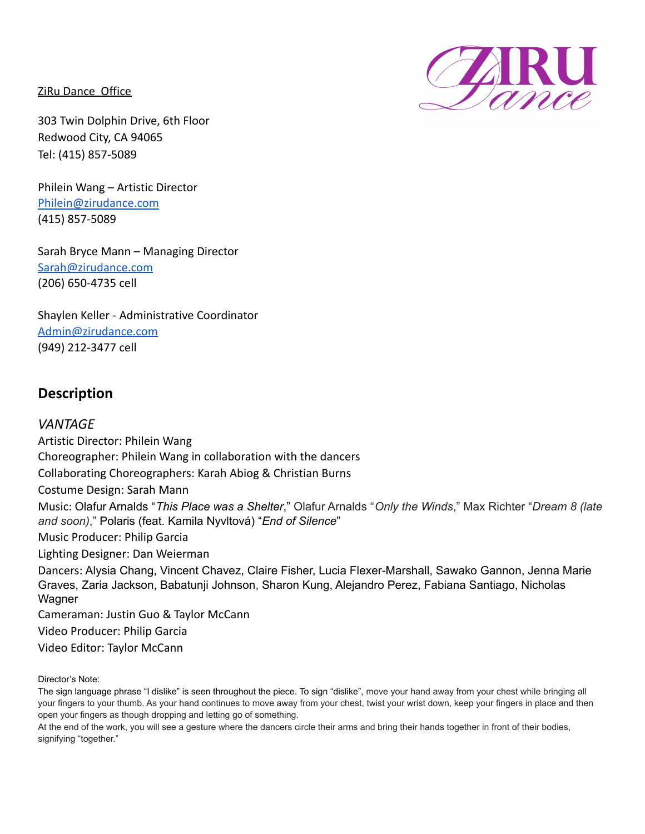ZiRu Dance Office



Philein Wang – Artistic Director [Philein@zirudance.com](mailto:Philein@zirudance.com) (415) 857-5089

Sarah Bryce Mann – Managing Director [Sarah@zirudance.com](mailto:Sarah@zirudance.com) (206) 650-4735 cell

Shaylen Keller - Administrative Coordinator [Admin@zirudance.com](mailto:Admin@zirudance.com) (949) 212-3477 cell

# **Description**

# *VANTAGE*

Artistic Director: Philein Wang Choreographer: Philein Wang in collaboration with the dancers Collaborating Choreographers: Karah Abiog & Christian Burns Costume Design: Sarah Mann Music: Olafur Arnalds "*This Place was a Shelter*," Olafur Arnalds "*Only the Winds*," Max Richter "*Dream 8 (late and soon)*," Polaris (feat. Kamila Nyvltová) "*End of Silence*" Music Producer: Philip Garcia Lighting Designer: Dan Weierman Dancers: Alysia Chang, Vincent Chavez, Claire Fisher, Lucia Flexer-Marshall, Sawako Gannon, Jenna Marie Graves, Zaria Jackson, Babatunji Johnson, Sharon Kung, Alejandro Perez, Fabiana Santiago, Nicholas **Wagner** Cameraman: Justin Guo & Taylor McCann Video Producer: Philip Garcia

Video Editor: Taylor McCann

Director's Note:

The sign language phrase "I dislike" is seen throughout the piece. To sign "dislike", move your hand away from your chest while bringing all your fingers to your thumb. As your hand continues to move away from your chest, twist your wrist down, keep your fingers in place and then open your fingers as though dropping and letting go of something.

At the end of the work, you will see a gesture where the dancers circle their arms and bring their hands together in front of their bodies, signifying "together."

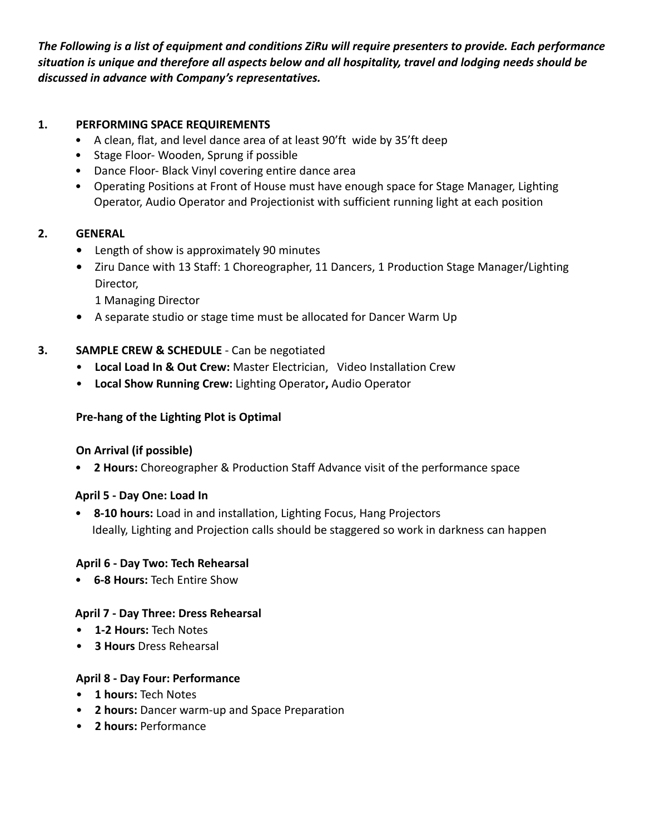*The Following is a list of equipment and conditions ZiRu will require presenters to provide. Each performance situation is unique and therefore all aspects below and all hospitality, travel and lodging needs should be discussed in advance with Company's representatives.*

#### **1. PERFORMING SPACE REQUIREMENTS**

- A clean, flat, and level dance area of at least 90'ft wide by 35'ft deep
- Stage Floor- Wooden, Sprung if possible
- Dance Floor- Black Vinyl covering entire dance area
- Operating Positions at Front of House must have enough space for Stage Manager, Lighting Operator, Audio Operator and Projectionist with sufficient running light at each position

#### **2. GENERAL**

- **•** Length of show is approximately 90 minutes
- **•** Ziru Dance with 13 Staff: 1 Choreographer, 11 Dancers, 1 Production Stage Manager/Lighting Director,

1 Managing Director

**•** A separate studio or stage time must be allocated for Dancer Warm Up

#### **3. SAMPLE CREW & SCHEDULE** - Can be negotiated

- **Local Load In & Out Crew:** Master Electrician, Video Installation Crew
- **Local Show Running Crew:** Lighting Operator**,** Audio Operator

## **Pre-hang of the Lighting Plot is Optimal**

#### **On Arrival (if possible)**

• **2 Hours:** Choreographer & Production Staff Advance visit of the performance space

#### **April 5 - Day One: Load In**

• **8-10 hours:** Load in and installation, Lighting Focus, Hang Projectors Ideally, Lighting and Projection calls should be staggered so work in darkness can happen

#### **April 6 - Day Two: Tech Rehearsal**

• **6-8 Hours:** Tech Entire Show

#### **April 7 - Day Three: Dress Rehearsal**

- **1-2 Hours:** Tech Notes
- **3 Hours** Dress Rehearsal

#### **April 8 - Day Four: Performance**

- **1 hours:** Tech Notes
- **2 hours:** Dancer warm-up and Space Preparation
- **2 hours:** Performance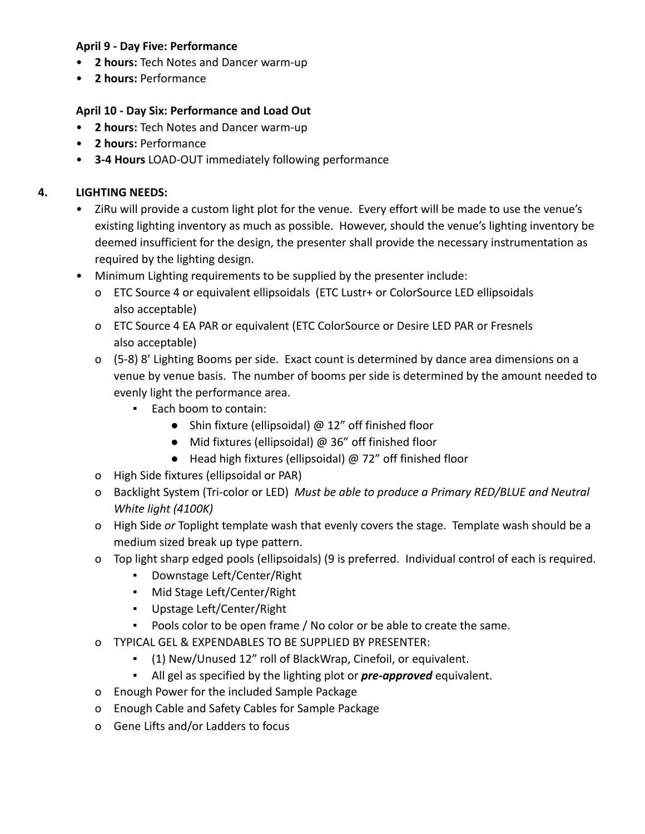#### **April 9 - Day Five: Performance**

- **2 hours:** Tech Notes and Dancer warm-up
- **2 hours:** Performance

## **April 10 - Day Six: Performance and Load Out**

- **2 hours:** Tech Notes and Dancer warm-up
- **2 hours:** Performance
- **3-4 Hours** LOAD-OUT immediately following performance

## **4. LIGHTING NEEDS:**

- ZiRu will provide a custom light plot for the venue. Every effort will be made to use the venue's existing lighting inventory as much as possible. However, should the venue's lighting inventory be deemed insufficient for the design, the presenter shall provide the necessary instrumentation as required by the lighting design.
- Minimum Lighting requirements to be supplied by the presenter include:
	- o ETC Source 4 or equivalent ellipsoidals (ETC Lustr+ or ColorSource LED ellipsoidals also acceptable)
	- o ETC Source 4 EA PAR or equivalent (ETC ColorSource or Desire LED PAR or Fresnels also acceptable)
	- o (5-8) 8' Lighting Booms per side. Exact count is determined by dance area dimensions on a venue by venue basis. The number of booms per side is determined by the amount needed to evenly light the performance area.
		- Each boom to contain:
			- Shin fixture (ellipsoidal) @ 12" off finished floor
			- Mid fixtures (ellipsoidal) @ 36" off finished floor
			- Head high fixtures (ellipsoidal) @ 72" off finished floor
	- o High Side fixtures (ellipsoidal or PAR)
	- o Backlight System (Tri-color or LED) *Must be able to produce a Primary RED/BLUE and Neutral White light (4100K)*
	- o High Side *or* Toplight template wash that evenly covers the stage. Template wash should be a medium sized break up type pattern.
	- o Top light sharp edged pools (ellipsoidals) (9 is preferred. Individual control of each is required.
		- Downstage Left/Center/Right
		- Mid Stage Left/Center/Right
		- Upstage Left/Center/Right
		- Pools color to be open frame / No color or be able to create the same.
	- o TYPICAL GEL & EXPENDABLES TO BE SUPPLIED BY PRESENTER:
		- (1) New/Unused 12" roll of BlackWrap, Cinefoil, or equivalent.
		- All gel as specified by the lighting plot or *pre-approved* equivalent.
	- o Enough Power for the included Sample Package
	- o Enough Cable and Safety Cables for Sample Package
	- o Gene Lifts and/or Ladders to focus